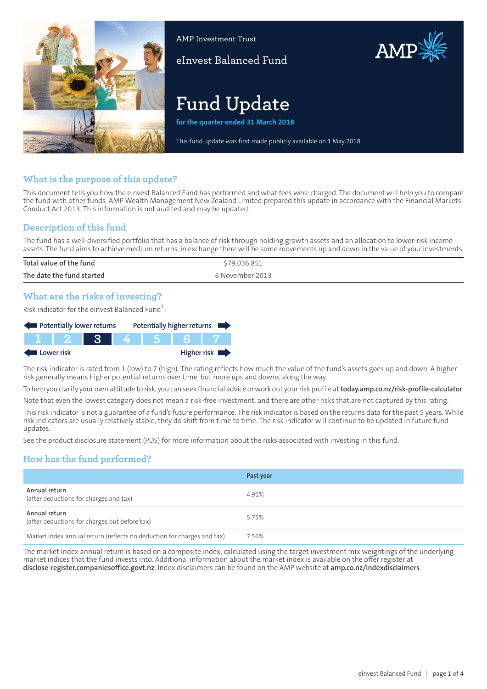

AMP Investment Trust

eInvest Balanced Fund

# AMP

# **Fund Update**

**for the quarter ended 31 March 2018**

This fund update was first made publicly available on 1 May 2018

# **What is the purpose of this update?**

This document tells you how the eInvest Balanced Fund has performed and what fees were charged. The document will help you to compare the fund with other funds. AMP Wealth Management New Zealand Limited prepared this update in accordance with the Financial Markets Conduct Act 2013. This information is not audited and may be updated.

# **Description of this fund**

The fund has a well-diversified portfolio that has a balance of risk through holding growth assets and an allocation to lower-risk income assets. The fund aims to achieve medium returns, in exchange there will be some movements up and down in the value of your investments.

| Total value of the fund   | \$79,036,851    |
|---------------------------|-----------------|
| The date the fund started | 6 November 2013 |
|                           |                 |

# **What are the risks of investing?**

Risk indicator for the eInvest Balanced Fund $\rm ^1$ :

|            |         | Potentially lower returns | Potentially higher returns |     |  |             |
|------------|---------|---------------------------|----------------------------|-----|--|-------------|
|            | T F 2 F | <b>AST</b>                |                            | 456 |  |             |
| Lower risk |         |                           |                            |     |  | Higher risk |

The risk indicator is rated from 1 (low) to 7 (high). The rating reflects how much the value of the fund's assets goes up and down. A higher risk generally means higher potential returns over time, but more ups and downs along the way.

To help you clarify your own attitude to risk, you can seek financial advice orwork out yourrisk profile at**[today.amp.co.nz/risk-profile-calculator](http://today.amp.co.nz/risk-profile-calculator)**.

Note that even the lowest category does not mean a risk-free investment, and there are other risks that are not captured by this rating.

This risk indicator is not a guarantee of a fund's future performance. The risk indicator is based on the returns data for the past 5 years. While risk indicators are usually relatively stable, they do shift from time to time. The risk indicator will continue to be updated in future fund updates.

See the product disclosure statement (PDS) for more information about the risks associated with investing in this fund.

# **How has the fund performed?**

|                                                                        | Past year |
|------------------------------------------------------------------------|-----------|
| Annual return<br>(after deductions for charges and tax)                | 4.91%     |
| Annual return<br>(after deductions for charges but before tax)         | 5.75%     |
| Market index annual return (reflects no deduction for charges and tax) | 7.56%     |

The market index annual return is based on a composite index, calculated using the target investment mix weightings of the underlying market indices that the fund invests into. Additional information about the market index is available on the offer register at **[disclose-register.companiesoffice.govt.nz](https://disclose-register.companiesoffice.govt.nz/)**. Index disclaimers can be found on the AMP website at **[amp.co.nz/indexdisclaimers](http://amp.co.nz/indexdisclaimers)**.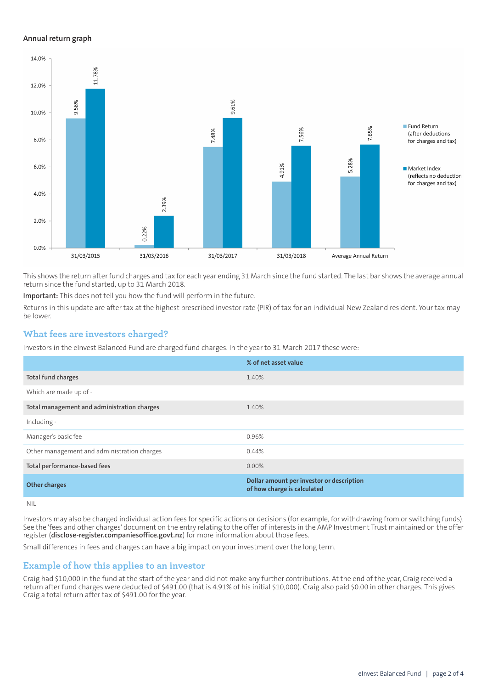#### **Annual return graph**



This shows the return afterfund charges and tax for each year ending 31 March since the fund started. The last bar shows the average annual return since the fund started, up to 31 March 2018.

**Important:** This does not tell you how the fund will perform in the future.

Returns in this update are after tax at the highest prescribed investor rate (PIR) of tax for an individual New Zealand resident. Your tax may be lower.

#### **What fees are investors charged?**

Investors in the eInvest Balanced Fund are charged fund charges. In the year to 31 March 2017 these were:

|                                             | % of net asset value                                                     |
|---------------------------------------------|--------------------------------------------------------------------------|
| Total fund charges                          | 1.40%                                                                    |
| Which are made up of -                      |                                                                          |
| Total management and administration charges | 1.40%                                                                    |
| Including -                                 |                                                                          |
| Manager's basic fee                         | 0.96%                                                                    |
| Other management and administration charges | 0.44%                                                                    |
| Total performance-based fees                | 0.00%                                                                    |
| <b>Other charges</b>                        | Dollar amount per investor or description<br>of how charge is calculated |
| NII                                         |                                                                          |

Investors may also be charged individual action fees for specific actions or decisions (for example, for withdrawing from or switching funds). See the 'fees and other charges' document on the entry relating to the offer of interests in the AMP Investment Trust maintained on the offer register (**[disclose-register.companiesoffice.govt.nz](https://disclose-register.companiesoffice.govt.nz/)**) for more information about those fees.

Small differences in fees and charges can have a big impact on your investment over the long term.

#### **Example of how this applies to an investor**

Craig had \$10,000 in the fund at the start of the year and did not make any further contributions. At the end of the year, Craig received a return after fund charges were deducted of \$491.00 (that is 4.91% of his initial \$10,000). Craig also paid \$0.00 in other charges. This gives Craig a total return after tax of \$491.00 for the year.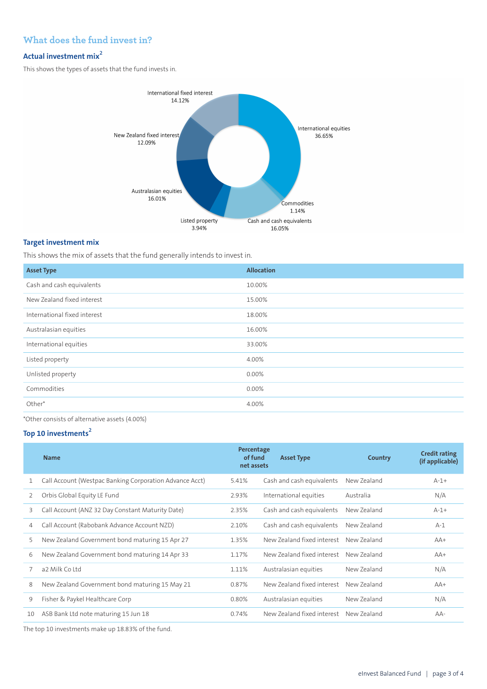# **What does the fund invest in?**

# **Actual investment mix<sup>2</sup>**

This shows the types of assets that the fund invests in.



#### **Target investment mix**

This shows the mix of assets that the fund generally intends to invest in.

| <b>Allocation</b> |
|-------------------|
| 10.00%            |
| 15.00%            |
| 18.00%            |
| 16.00%            |
| 33.00%            |
| 4.00%             |
| 0.00%             |
| 0.00%             |
| 4.00%             |
|                   |

\*Other consists of alternative assets (4.00%)

#### **Top 10 investments<sup>2</sup>**

|    | <b>Name</b>                                             | Percentage<br>of fund<br>net assets | <b>Asset Type</b>                      | Country     | <b>Credit rating</b><br>(if applicable) |
|----|---------------------------------------------------------|-------------------------------------|----------------------------------------|-------------|-----------------------------------------|
|    | Call Account (Westpac Banking Corporation Advance Acct) | 5.41%                               | Cash and cash equivalents              | New Zealand | $A-1+$                                  |
| 2  | Orbis Global Equity LE Fund                             | 2.93%                               | International equities                 | Australia   | N/A                                     |
| 3  | Call Account (ANZ 32 Day Constant Maturity Date)        | 2.35%                               | Cash and cash equivalents              | New Zealand | $A-1+$                                  |
| 4  | Call Account (Rabobank Advance Account NZD)             | 2.10%                               | Cash and cash equivalents              | New Zealand | $A-1$                                   |
| 5  | New Zealand Government bond maturing 15 Apr 27          | 1.35%                               | New Zealand fixed interest             | New Zealand | $AA+$                                   |
| 6  | New Zealand Government bond maturing 14 Apr 33          | 1.17%                               | New Zealand fixed interest             | New Zealand | $AA+$                                   |
| 7  | a2 Milk Co Ltd                                          | 1.11%                               | Australasian equities                  | New Zealand | N/A                                     |
| 8  | New Zealand Government bond maturing 15 May 21          | 0.87%                               | New Zealand fixed interest             | New Zealand | $AA+$                                   |
| 9  | Fisher & Paykel Healthcare Corp                         | 0.80%                               | Australasian equities                  | New Zealand | N/A                                     |
| 10 | ASB Bank Ltd note maturing 15 Jun 18                    | 0.74%                               | New Zealand fixed interest New Zealand |             | $AA-$                                   |
|    |                                                         |                                     |                                        |             |                                         |

The top 10 investments make up 18.83% of the fund.